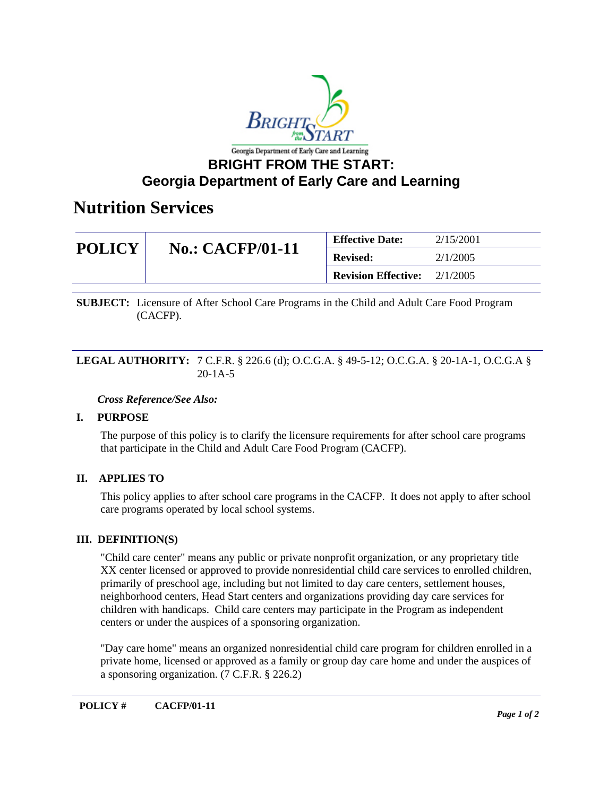

# **BRIGHT FROM THE START: Georgia Department of Early Care and Learning**

# **Nutrition Services**

| <b>POLICY</b> | <b>No.: CACFP/01-11</b> | <b>Effective Date:</b>     | 2/15/2001 |
|---------------|-------------------------|----------------------------|-----------|
|               |                         | <b>Revised:</b>            | 2/1/2005  |
|               |                         | <b>Revision Effective:</b> | 2/1/2005  |

**SUBJECT:** Licensure of After School Care Programs in the Child and Adult Care Food Program (CACFP).

### **LEGAL AUTHORITY:** 7 C.F.R. § 226.6 (d); O.C.G.A. § 49-5-12; O.C.G.A. § 20-1A-1, O.C.G.A § 20-1A-5

# *Cross Reference/See Also:*

# **I. PURPOSE**

The purpose of this policy is to clarify the licensure requirements for after school care programs that participate in the Child and Adult Care Food Program (CACFP).

# **II. APPLIES TO**

This policy applies to after school care programs in the CACFP. It does not apply to after school care programs operated by local school systems.

#### **III. DEFINITION(S)**

"Child care center" means any public or private nonprofit organization, or any proprietary title XX center licensed or approved to provide nonresidential child care services to enrolled children, primarily of preschool age, including but not limited to day care centers, settlement houses, neighborhood centers, Head Start centers and organizations providing day care services for children with handicaps. Child care centers may participate in the Program as independent centers or under the auspices of a sponsoring organization.

"Day care home" means an organized nonresidential child care program for children enrolled in a private home, licensed or approved as a family or group day care home and under the auspices of a sponsoring organization. (7 C.F.R. § 226.2)